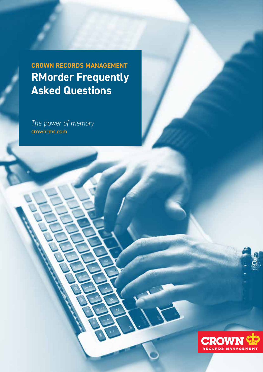**CROWN RECORDS MANAGEMENT RMorder Frequently Asked Questions**

*The power of memory* crownrms.com

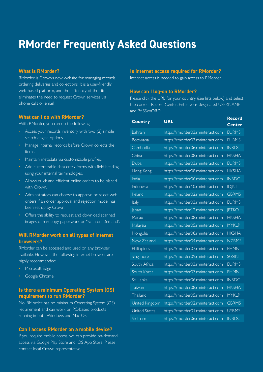# **RMorder Frequently Asked Questions**

### **What is RMorder?**

RMorder is Crown's new website for managing records, ordering deliveries and collections. It is a user-friendly web-based platform, and the efficiency of the site eliminates the need to request Crown services via phone calls or email.

#### **What can I do with RMorder?**

With RMorder, you can do the following:

- Access your records inventory with two (2) simple search engine options.
- Manage internal records before Crown collects the items.
- Maintain metadata via customizable profiles.
- Add customizable data entry forms with field heading using your internal terminologies.
- Allows quick and efficient online orders to be placed with Crown.
- Administrators can choose to approve or reject web orders if an order approval and rejection model has been set up by Crown.
- Offers the ability to request and download scanned images of hardcopy paperwork or "Scan on Demand".

# **Will RMorder work on all types of internet browsers?**

RMorder can be accessed and used on any browser available. However, the following internet browser are highly recommended:

- Microsoft Edge
- Google Chrome

# **Is there a minimum Operating System (OS) requirement to run RMorder?**

No, RMorder has no minimum Operating System (OS) requirement and can work on PC-based products running in both Windows and Mac OS.

#### **Can I access RMorder on a mobile device?**

If you require mobile access, we can provide on-demand access via Google Play Store and iOS App Store. Please contact local Crown representative.

#### **Is internet access required for RMorder?**

Internet access is needed to gain access to RMorder.

#### **How can I log-on to RMorder?**

Please click the URL for your country (see lists below) and select the correct Record Center. Enter your designated USERNAME and PASSWORD.

| <b>Country</b>       | <b>URL</b>                       | <b>Record</b> |
|----------------------|----------------------------------|---------------|
|                      |                                  | <b>Center</b> |
| <b>Bahrain</b>       | https://rmorder03.rminteract.com | <b>EURMS</b>  |
| <b>Botswana</b>      | https://rmorder03.rminteract.com | <b>EURMS</b>  |
| Cambodia             | https://rmorder06.rminteract.com | <b>INBDC</b>  |
| China                | https://rmorder08.rminteract.com | <b>HKSHA</b>  |
| Dubai                | https://rmorder03.rminteract.com | <b>EURMS</b>  |
| Hong Kong            | https://rmorder08.rminteract.com | <b>HKSHA</b>  |
| India                | https://rmorder06.rminteract.com | <b>INBDC</b>  |
| Indonesia            | https://rmorder10.rminteract.com | <b>IDJKT</b>  |
| Ireland              | https://rmorder02.rminteract.com | <b>GBRMS</b>  |
| Italy                | https://rmorder03.rminteract.com | <b>EURMS</b>  |
| Japan                | https://rmorder12.rminteract.com | <b>JPTKO</b>  |
| Macau                | https://rmorder08.rminteract.com | <b>HKSHA</b>  |
| Malaysia             | https://rmorder05.rminteract.com | <b>MYKLP</b>  |
| Mongolia             | https://rmorder08.rminteract.com | <b>HKSHA</b>  |
| New Zealand          | https://rmorder04.rminteract.com | <b>NZRMS</b>  |
| Philippines          | https://rmorder07.rminteract.com | <b>PHMNL</b>  |
| Singapore            | https://rmorder09.rminteract.com | <b>SGSIN</b>  |
| South Africa         | https://rmorder03.rminteract.com | <b>EURMS</b>  |
| South Korea          | https://rmorder07.rminteract.com | <b>PHMNL</b>  |
| Sri Lanka            | https://rmorder06.rminteract.com | <b>INBDC</b>  |
| Taiwan               | https://rmorder08.rminteract.com | <b>HKSHA</b>  |
| <b>Thailand</b>      | https://rmorder05.rminteract.com | <b>MYKLP</b>  |
| United Kingdom       | https://rmorder02.rminteract.com | <b>GBRMS</b>  |
| <b>United States</b> | https://rmorder01.rminteract.com | <b>USRMS</b>  |
| Vietnam              | https://rmorder06.rminteract.com | <b>INBDC</b>  |